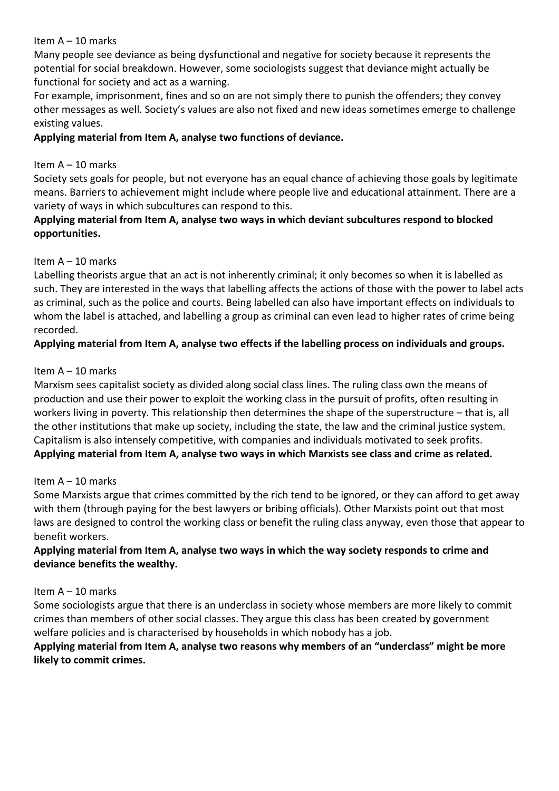Many people see deviance as being dysfunctional and negative for society because it represents the potential for social breakdown. However, some sociologists suggest that deviance might actually be functional for society and act as a warning.

For example, imprisonment, fines and so on are not simply there to punish the offenders; they convey other messages as well. Society's values are also not fixed and new ideas sometimes emerge to challenge existing values.

### **Applying material from Item A, analyse two functions of deviance.**

### Item A – 10 marks

Society sets goals for people, but not everyone has an equal chance of achieving those goals by legitimate means. Barriers to achievement might include where people live and educational attainment. There are a variety of ways in which subcultures can respond to this.

# **Applying material from Item A, analyse two ways in which deviant subcultures respond to blocked opportunities.**

# Item A – 10 marks

Labelling theorists argue that an act is not inherently criminal; it only becomes so when it is labelled as such. They are interested in the ways that labelling affects the actions of those with the power to label acts as criminal, such as the police and courts. Being labelled can also have important effects on individuals to whom the label is attached, and labelling a group as criminal can even lead to higher rates of crime being recorded.

# **Applying material from Item A, analyse two effects if the labelling process on individuals and groups.**

# Item A – 10 marks

Marxism sees capitalist society as divided along social class lines. The ruling class own the means of production and use their power to exploit the working class in the pursuit of profits, often resulting in workers living in poverty. This relationship then determines the shape of the superstructure – that is, all the other institutions that make up society, including the state, the law and the criminal justice system. Capitalism is also intensely competitive, with companies and individuals motivated to seek profits. **Applying material from Item A, analyse two ways in which Marxists see class and crime as related.**

### Item A – 10 marks

Some Marxists argue that crimes committed by the rich tend to be ignored, or they can afford to get away with them (through paying for the best lawyers or bribing officials). Other Marxists point out that most laws are designed to control the working class or benefit the ruling class anyway, even those that appear to benefit workers.

# **Applying material from Item A, analyse two ways in which the way society responds to crime and deviance benefits the wealthy.**

### Item A – 10 marks

Some sociologists argue that there is an underclass in society whose members are more likely to commit crimes than members of other social classes. They argue this class has been created by government welfare policies and is characterised by households in which nobody has a job.

### **Applying material from Item A, analyse two reasons why members of an "underclass" might be more likely to commit crimes.**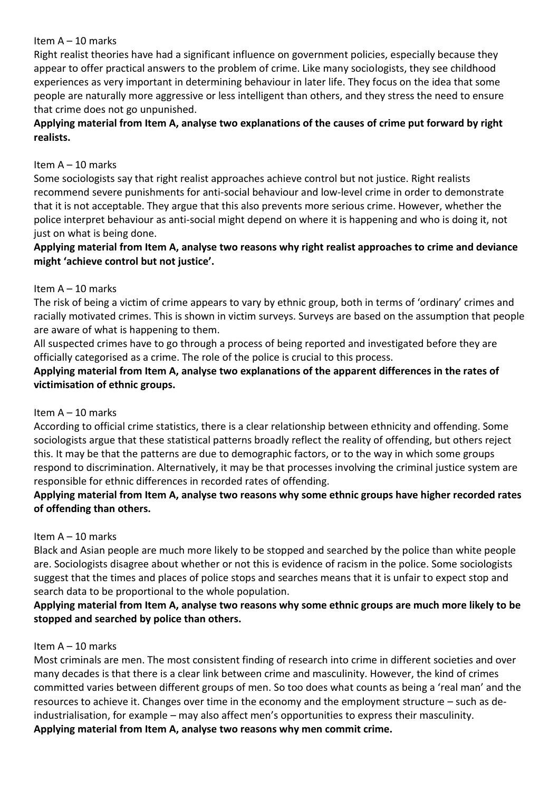Right realist theories have had a significant influence on government policies, especially because they appear to offer practical answers to the problem of crime. Like many sociologists, they see childhood experiences as very important in determining behaviour in later life. They focus on the idea that some people are naturally more aggressive or less intelligent than others, and they stress the need to ensure that crime does not go unpunished.

### **Applying material from Item A, analyse two explanations of the causes of crime put forward by right realists.**

#### Item A – 10 marks

Some sociologists say that right realist approaches achieve control but not justice. Right realists recommend severe punishments for anti-social behaviour and low-level crime in order to demonstrate that it is not acceptable. They argue that this also prevents more serious crime. However, whether the police interpret behaviour as anti-social might depend on where it is happening and who is doing it, not just on what is being done.

### **Applying material from Item A, analyse two reasons why right realist approaches to crime and deviance might 'achieve control but not justice'.**

#### Item A – 10 marks

The risk of being a victim of crime appears to vary by ethnic group, both in terms of 'ordinary' crimes and racially motivated crimes. This is shown in victim surveys. Surveys are based on the assumption that people are aware of what is happening to them.

All suspected crimes have to go through a process of being reported and investigated before they are officially categorised as a crime. The role of the police is crucial to this process.

# **Applying material from Item A, analyse two explanations of the apparent differences in the rates of victimisation of ethnic groups.**

### Item A – 10 marks

According to official crime statistics, there is a clear relationship between ethnicity and offending. Some sociologists argue that these statistical patterns broadly reflect the reality of offending, but others reject this. It may be that the patterns are due to demographic factors, or to the way in which some groups respond to discrimination. Alternatively, it may be that processes involving the criminal justice system are responsible for ethnic differences in recorded rates of offending.

### **Applying material from Item A, analyse two reasons why some ethnic groups have higher recorded rates of offending than others.**

### Item A – 10 marks

Black and Asian people are much more likely to be stopped and searched by the police than white people are. Sociologists disagree about whether or not this is evidence of racism in the police. Some sociologists suggest that the times and places of police stops and searches means that it is unfair to expect stop and search data to be proportional to the whole population.

# **Applying material from Item A, analyse two reasons why some ethnic groups are much more likely to be stopped and searched by police than others.**

#### Item A – 10 marks

Most criminals are men. The most consistent finding of research into crime in different societies and over many decades is that there is a clear link between crime and masculinity. However, the kind of crimes committed varies between different groups of men. So too does what counts as being a 'real man' and the resources to achieve it. Changes over time in the economy and the employment structure – such as deindustrialisation, for example – may also affect men's opportunities to express their masculinity. **Applying material from Item A, analyse two reasons why men commit crime.**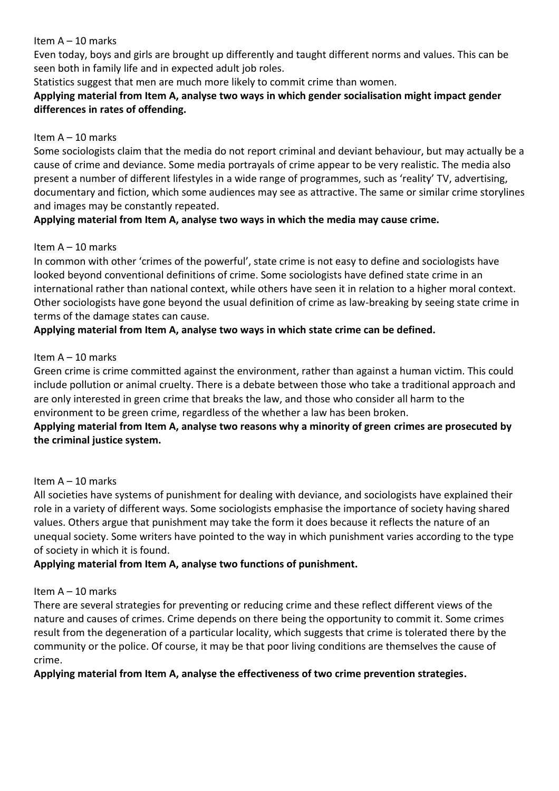Even today, boys and girls are brought up differently and taught different norms and values. This can be seen both in family life and in expected adult job roles.

Statistics suggest that men are much more likely to commit crime than women.

### **Applying material from Item A, analyse two ways in which gender socialisation might impact gender differences in rates of offending.**

### Item A – 10 marks

Some sociologists claim that the media do not report criminal and deviant behaviour, but may actually be a cause of crime and deviance. Some media portrayals of crime appear to be very realistic. The media also present a number of different lifestyles in a wide range of programmes, such as 'reality' TV, advertising, documentary and fiction, which some audiences may see as attractive. The same or similar crime storylines and images may be constantly repeated.

### **Applying material from Item A, analyse two ways in which the media may cause crime.**

### Item A – 10 marks

In common with other 'crimes of the powerful', state crime is not easy to define and sociologists have looked beyond conventional definitions of crime. Some sociologists have defined state crime in an international rather than national context, while others have seen it in relation to a higher moral context. Other sociologists have gone beyond the usual definition of crime as law-breaking by seeing state crime in terms of the damage states can cause.

# **Applying material from Item A, analyse two ways in which state crime can be defined.**

#### Item A – 10 marks

Green crime is crime committed against the environment, rather than against a human victim. This could include pollution or animal cruelty. There is a debate between those who take a traditional approach and are only interested in green crime that breaks the law, and those who consider all harm to the environment to be green crime, regardless of the whether a law has been broken.

# **Applying material from Item A, analyse two reasons why a minority of green crimes are prosecuted by the criminal justice system.**

### Item A – 10 marks

All societies have systems of punishment for dealing with deviance, and sociologists have explained their role in a variety of different ways. Some sociologists emphasise the importance of society having shared values. Others argue that punishment may take the form it does because it reflects the nature of an unequal society. Some writers have pointed to the way in which punishment varies according to the type of society in which it is found.

### **Applying material from Item A, analyse two functions of punishment.**

### Item A – 10 marks

There are several strategies for preventing or reducing crime and these reflect different views of the nature and causes of crimes. Crime depends on there being the opportunity to commit it. Some crimes result from the degeneration of a particular locality, which suggests that crime is tolerated there by the community or the police. Of course, it may be that poor living conditions are themselves the cause of crime.

### **Applying material from Item A, analyse the effectiveness of two crime prevention strategies.**